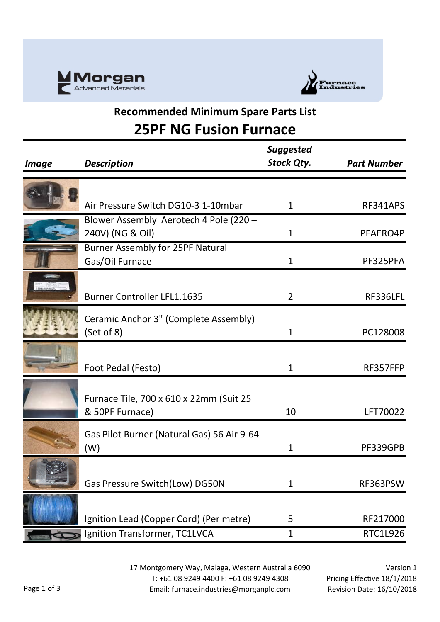



### **Recommended Minimum Spare Parts List 25PF NG Fusion Furnace**

| <i>Image</i> | <b>Description</b>                         | <b>Suggested</b><br>Stock Qty. | <b>Part Number</b> |
|--------------|--------------------------------------------|--------------------------------|--------------------|
|              |                                            |                                |                    |
|              |                                            |                                |                    |
|              | Air Pressure Switch DG10-3 1-10mbar        | $\mathbf{1}$                   | RF341APS           |
|              | Blower Assembly Aerotech 4 Pole (220 -     |                                |                    |
|              | 240V) (NG & Oil)                           | $\mathbf{1}$                   | PFAERO4P           |
|              | <b>Burner Assembly for 25PF Natural</b>    |                                |                    |
|              | Gas/Oil Furnace                            | 1                              | PF325PFA           |
|              |                                            |                                |                    |
|              | <b>Burner Controller LFL1.1635</b>         | $\overline{2}$                 | RF336LFL           |
|              | Ceramic Anchor 3" (Complete Assembly)      |                                |                    |
|              | (Set of 8)                                 | 1                              | PC128008           |
|              |                                            |                                |                    |
|              |                                            |                                |                    |
|              | Foot Pedal (Festo)                         | 1                              | RF357FFP           |
|              |                                            |                                |                    |
|              | Furnace Tile, 700 x 610 x 22mm (Suit 25    |                                |                    |
|              | & 50PF Furnace)                            | 10                             | LFT70022           |
|              | Gas Pilot Burner (Natural Gas) 56 Air 9-64 |                                |                    |
|              | (W)                                        | 1                              | PF339GPB           |
|              |                                            |                                |                    |
|              |                                            |                                |                    |
|              | Gas Pressure Switch(Low) DG50N             | 1                              | RF363PSW           |
|              |                                            |                                |                    |
|              | Ignition Lead (Copper Cord) (Per metre)    | 5                              | RF217000           |
|              | Ignition Transformer, TC1LVCA              | $\mathbf{1}$                   | RTC1L926           |

17 Montgomery Way, Malaga, Western Australia 6090 T: +61 08 9249 4400 F: +61 08 9249 4308 Email: furnace.industries@morganplc.com

Version 1 Pricing Effective 18/1/2018 Revision Date: 16/10/2018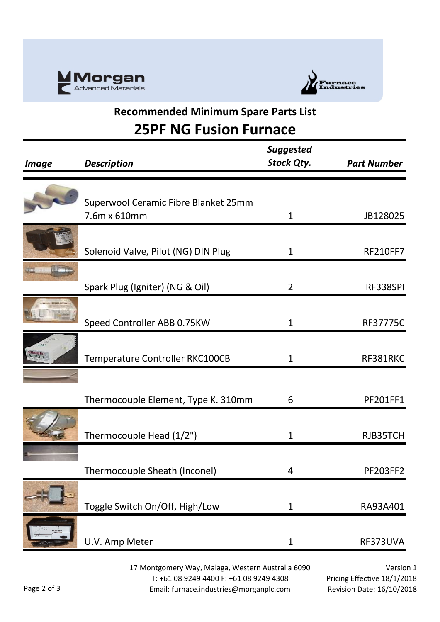



### **Recommended Minimum Spare Parts List 25PF NG Fusion Furnace**

| <i><b>Image</b></i>    | <b>Description</b>                                   | <b>Suggested</b><br><b>Stock Qty.</b> | <b>Part Number</b> |
|------------------------|------------------------------------------------------|---------------------------------------|--------------------|
|                        |                                                      |                                       |                    |
|                        | Superwool Ceramic Fibre Blanket 25mm<br>7.6m x 610mm | $\mathbf 1$                           | JB128025           |
|                        | Solenoid Valve, Pilot (NG) DIN Plug                  | $\mathbf{1}$                          | <b>RF210FF7</b>    |
|                        | Spark Plug (Igniter) (NG & Oil)                      | $\overline{2}$                        | RF338SPI           |
| <b>LITERITE MANYIN</b> | Speed Controller ABB 0.75KW                          | $\mathbf{1}$                          | RF37775C           |
|                        | Temperature Controller RKC100CB                      | $\mathbf 1$                           | RF381RKC           |
|                        | Thermocouple Element, Type K. 310mm                  | 6                                     | PF201FF1           |
|                        | Thermocouple Head (1/2")                             | $\mathbf 1$                           | RJB35TCH           |
|                        | Thermocouple Sheath (Inconel)                        | $\overline{4}$                        | PF203FF2           |
|                        | Toggle Switch On/Off, High/Low                       | $\mathbf{1}$                          | RA93A401           |
|                        | U.V. Amp Meter                                       | $\mathbf{1}$                          | RF373UVA           |
|                        |                                                      |                                       |                    |

17 Montgomery Way, Malaga, Western Australia 6090 T: +61 08 9249 4400 F: +61 08 9249 4308 Email: furnace.industries@morganplc.com

Version 1 Pricing Effective 18/1/2018 Revision Date: 16/10/2018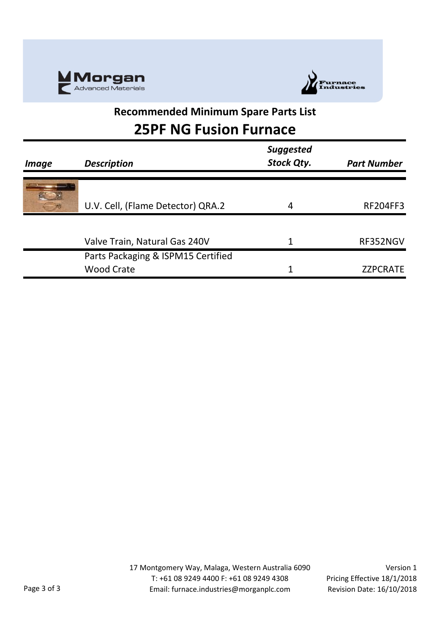



### **Recommended Minimum Spare Parts List 25PF NG Fusion Furnace**

| <i><b>Image</b></i> | <b>Description</b>                 | <b>Suggested</b><br><b>Stock Qty.</b> | <b>Part Number</b> |
|---------------------|------------------------------------|---------------------------------------|--------------------|
|                     | U.V. Cell, (Flame Detector) QRA.2  | 4                                     | <b>RF204FF3</b>    |
|                     | Valve Train, Natural Gas 240V      | 1                                     | RF352NGV           |
|                     | Parts Packaging & ISPM15 Certified |                                       |                    |
|                     | <b>Wood Crate</b>                  | 1                                     | <b>ZZPCRATE</b>    |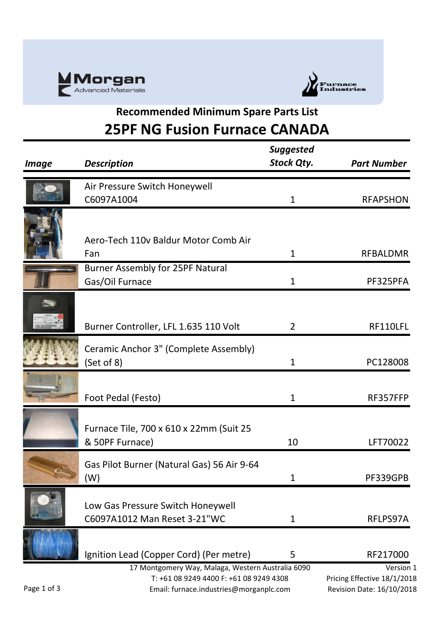



## **Recommended Minimum Spare Parts List 25PF NG Fusion Furnace CANADA**

| <b>Image</b> | <b>Description</b>                                                                                                                      | <b>Suggested</b><br><b>Stock Qty.</b> | <b>Part Number</b>                                                    |
|--------------|-----------------------------------------------------------------------------------------------------------------------------------------|---------------------------------------|-----------------------------------------------------------------------|
|              | Air Pressure Switch Honeywell                                                                                                           |                                       |                                                                       |
|              | C6097A1004                                                                                                                              | $\mathbf{1}$                          | <b>RFAPSHON</b>                                                       |
|              | Aero-Tech 110v Baldur Motor Comb Air<br>Fan                                                                                             | 1                                     | <b>RFBALDMR</b>                                                       |
|              | <b>Burner Assembly for 25PF Natural</b>                                                                                                 |                                       |                                                                       |
|              | Gas/Oil Furnace                                                                                                                         | $\mathbf{1}$                          | PF325PFA                                                              |
|              | Burner Controller, LFL 1.635 110 Volt                                                                                                   | $\overline{2}$                        | RF110LFL                                                              |
|              | Ceramic Anchor 3" (Complete Assembly)<br>(Set of 8)                                                                                     | 1                                     | PC128008                                                              |
|              | Foot Pedal (Festo)                                                                                                                      | $\mathbf{1}$                          | RF357FFP                                                              |
|              | Furnace Tile, 700 x 610 x 22mm (Suit 25<br>& 50PF Furnace)                                                                              | 10                                    | LFT70022                                                              |
|              | Gas Pilot Burner (Natural Gas) 56 Air 9-64<br>(W)                                                                                       | 1                                     | PF339GPB                                                              |
|              | Low Gas Pressure Switch Honeywell<br>C6097A1012 Man Reset 3-21"WC                                                                       | 1                                     | RFLPS97A                                                              |
|              | Ignition Lead (Copper Cord) (Per metre)                                                                                                 | 5                                     | RF217000                                                              |
| Page 1 of 3  | 17 Montgomery Way, Malaga, Western Australia 6090<br>T: +61 08 9249 4400 F: +61 08 9249 4308<br>Email: furnace.industries@morganplc.com |                                       | Version 1<br>Pricing Effective 18/1/2018<br>Revision Date: 16/10/2018 |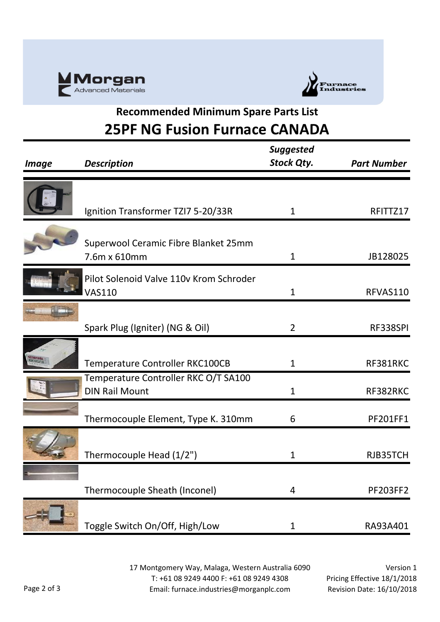



# **Recommended Minimum Spare Parts List 25PF NG Fusion Furnace CANADA**

| <b>Description</b>                      | <b>Suggested</b><br><b>Stock Qty.</b>                                  | <b>Part Number</b> |
|-----------------------------------------|------------------------------------------------------------------------|--------------------|
|                                         |                                                                        |                    |
|                                         |                                                                        |                    |
| Ignition Transformer TZI7 5-20/33R      | $\mathbf{1}$                                                           | RFITTZ17           |
|                                         |                                                                        |                    |
| Superwool Ceramic Fibre Blanket 25mm    |                                                                        |                    |
| 7.6m x 610mm                            | 1                                                                      | JB128025           |
| Pilot Solenoid Valve 110v Krom Schroder |                                                                        |                    |
| <b>VAS110</b>                           | $\mathbf{1}$                                                           | RFVAS110           |
|                                         |                                                                        |                    |
| Spark Plug (Igniter) (NG & Oil)         | $\overline{2}$                                                         | RF338SPI           |
|                                         |                                                                        |                    |
|                                         | $\mathbf{1}$                                                           | RF381RKC           |
| Temperature Controller RKC O/T SA100    |                                                                        |                    |
| <b>DIN Rail Mount</b>                   | $\mathbf{1}$                                                           | RF382RKC           |
|                                         |                                                                        |                    |
|                                         |                                                                        | PF201FF1           |
|                                         |                                                                        |                    |
| Thermocouple Head (1/2")                | $\mathbf{1}$                                                           | RJB35TCH           |
|                                         |                                                                        |                    |
| Thermocouple Sheath (Inconel)           | 4                                                                      | <b>PF203FF2</b>    |
|                                         |                                                                        |                    |
| Toggle Switch On/Off, High/Low          | $\mathbf 1$                                                            | RA93A401           |
|                                         | Temperature Controller RKC100CB<br>Thermocouple Element, Type K. 310mm | 6                  |

17 Montgomery Way, Malaga, Western Australia 6090 T: +61 08 9249 4400 F: +61 08 9249 4308 Email: furnace.industries@morganplc.com

Version 1 Pricing Effective 18/1/2018 Revision Date: 16/10/2018